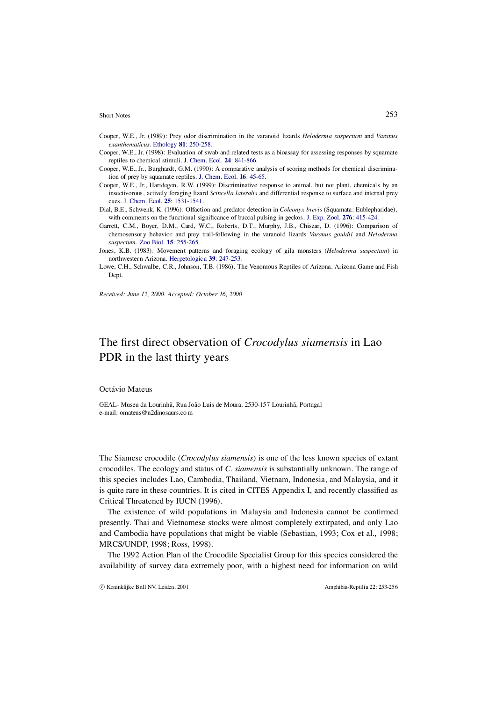#### Short Notes 253

- Cooper, W.E., Jr. (1989): Prey odor discrimination in the varanoid lizards *Heloderma suspectum* and *Varanus exanthematicus*. Ethology **81**: 250-258.
- Cooper, W.E., Jr. (1998): Evaluation of swab and related tests as a bioassay for assessing responses by squamate reptiles to chemical stimuli. J. Chem. Ecol. **24**: 841-866.
- Cooper, W.E., Jr., Burghardt, G.M. (1990): A comparative analysis of scoring methods for chemical discrimination of prey by squamate reptiles. J. Chem. Ecol. **16**: 45-65.
- Cooper, W.E., Jr., Hartdegen, R.W. (1999): Discriminative response to animal, but not plant, chemicals by an insectivorous, actively foraging lizard *Scincella lateralis* and differential response to surface and internal prey cues. J. Chem. Ecol. **25**: 1531-1541.
- Dial, B.E., Schwenk, K. (1996): Olfaction and predator detection in *Coleonyx brevis* (Squamata: Eublepharidae), with comments on the functional significance of buccal pulsing in geckos. J. Exp. Zool. **276**: 415-424.
- Garrett, C.M., Boyer, D.M., Card, W.C., Roberts, D.T., Murphy, J.B., Chiszar, D. (1996): Comparison of chemosensory behavior and prey trail-following in the varanoid lizards *Varanus gouldii* and *Heloderma suspectum*. Zoo Biol. **15**: 255-265.

Jones, K.B. (1983): Movement patterns and foraging ecology of gila monsters (*Heloderma suspectum*) in northwestern Arizona. Herpetologica **39**: 247-253.

Lowe, C.H., Schwalbe, C.R., Johnson, T.B. (1986). The Venomous Reptiles of Arizona. Arizona Game and Fish Dept.

*Received: June 12, 2000. Accepted: October 16, 2000.*

## The first direct observation of *Crocodylus siamensis* in Lao PDR in the last thirty years

### Octávio Mateus

GEAL- Museu da Lourinhã, Rua João Luis de Moura; 2530-157 Lourinhã, Portugal e-mail: omateus@n2dinosaurs.co m

The Siamese crocodile (*Crocodylus siamensis*) is one of the less known species of extant crocodiles. The ecology and status of *C. siamensis* is substantially unknown. The range of this species includes Lao, Cambodia, Thailand, Vietnam, Indonesia, and Malaysia, and it is quite rare in these countries. It is cited in CITES Appendix I, and recently classified as Critical Threatened by IUCN (1996).

The existence of wild populations in Malaysia and Indonesia cannot be confirmed presently. Thai and Vietnamese stocks were almost completely extirpated, and only Lao and Cambodia have populations that might be viable (Sebastian, 1993; Cox et al., 1998; MRCS/UNDP, 1998; Ross, 1998).

The 1992 Action Plan of the Crocodile Specialist Group for this species considered the availability of survey data extremely poor, with a highest need for information on wild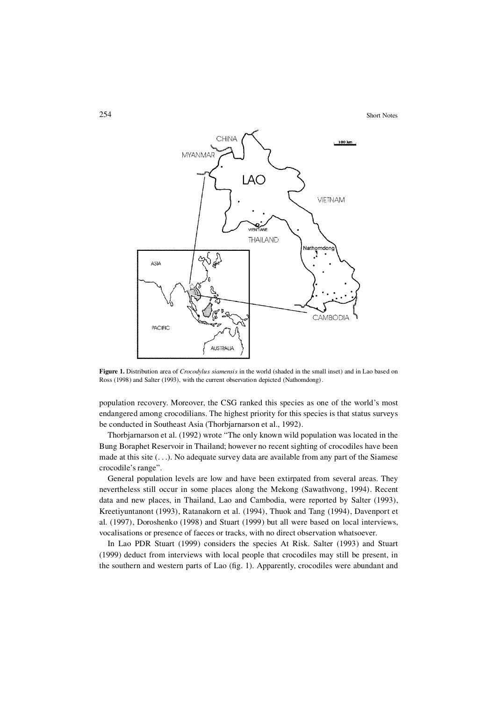

**Figure 1.** Distribution area of *Crocodylus siamensis* in the world (shaded in the small inset) and in Lao based on Ross (1998) and Salter (1993), with the current observation depicted (Nathomdong).

population recovery. Moreover, the CSG ranked this species as one of the world's most endangered among crocodilians. The highest priority for this species is that status surveys be conducted in Southeast Asia (Thorbjarnarson et al., 1992).

Thorbjarnarson et al. (1992) wrote "The only known wild population was located in the Bung Boraphet Reservoir in Thailand; however no recent sighting of crocodiles have been made at this site  $(\ldots)$ . No adequate survey data are available from any part of the Siamese crocodile's range".

General population levels are low and have been extirpated from several areas. They nevertheless still occur in some places along the Mekong (Sawathvong, 1994). Recent data and new places, in Thailand, Lao and Cambodia, were reported by Salter (1993), Kreetiyuntanont (1993), Ratanakorn et al. (1994), Thuok and Tang (1994), Davenport et al. (1997), Doroshenko (1998) and Stuart (1999) but all were based on local interviews, vocalisations or presence of faeces or tracks, with no direct observation whatsoever.

In Lao PDR Stuart (1999) considers the species At Risk. Salter (1993) and Stuart (1999) deduct from interviews with local people that crocodiles may still be present, in the southern and western parts of Lao (fig. 1). Apparently, crocodiles were abundant and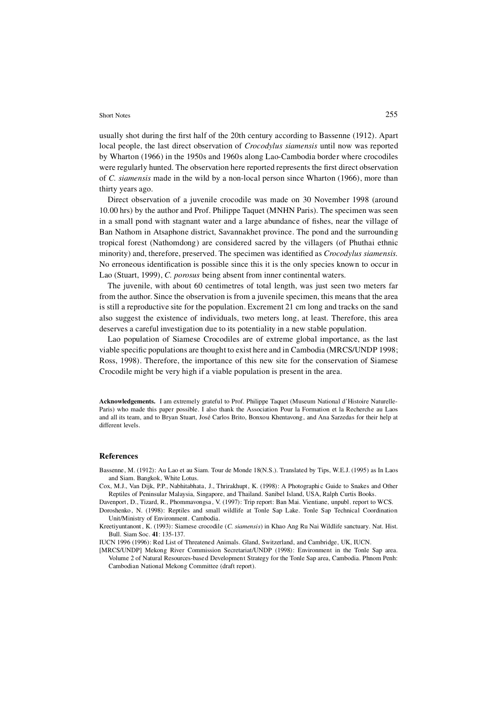#### Short Notes 255

usually shot during the first half of the 20th century according to Bassenne (1912). Apart local people, the last direct observation of *Crocodylus siamensis* until now was reported by Wharton (1966) in the 1950s and 1960s along Lao-Cambodia border where crocodiles were regularly hunted. The observation here reported represents the first direct observation of *C. siamensis* made in the wild by a non-local person since Wharton (1966), more than thirty years ago.

Direct observation of a juvenile crocodile was made on 30 November 1998 (around 10.00 hrs) by the author and Prof. Philippe Taquet (MNHN Paris). The specimen was seen in a small pond with stagnant water and a large abundance of fishes, near the village of Ban Nathom in Atsaphone district, Savannakhet province. The pond and the surrounding tropical forest (Nathomdong) are considered sacred by the villagers (of Phuthai ethnic minority) and, therefore, preserved. The specimen was identified as *Crocodylus siamensis*. No erroneous identification is possible since this it is the only species known to occur in Lao (Stuart, 1999), *C. porosus* being absent from inner continental waters.

The juvenile, with about 60 centimetres of total length, was just seen two meters far from the author. Since the observation is from a juvenile specimen, this means that the area is still a reproductive site for the population. Excrement 21 cm long and tracks on the sand also suggest the existence of individuals, two meters long, at least. Therefore, this area deserves a careful investigation due to its potentiality in a new stable population.

Lao population of Siamese Crocodiles are of extreme global importance, as the last viable specific populations are thought to exist here and in Cambodia (MRCS/UNDP 1998; Ross, 1998). Therefore, the importance of this new site for the conservation of Siamese Crocodile might be very high if a viable population is present in the area.

**Acknowledgements.** I am extremely grateful to Prof. Philippe Taquet (Museum National d'Histoire Naturelle-Paris) who made this paper possible. I also thank the Association Pour la Formation et la Recherche au Laos and all its team, and to Bryan Stuart, José Carlos Brito, Bonxou Khentavong, and Ana Sarzedas for their help at different levels.

#### **References**

Bassenne, M. (1912): Au Lao et au Siam. Tour de Monde 18(N.S.). Translated by Tips, W.E.J. (1995) as In Laos and Siam. Bangkok, White Lotus.

- Cox, M.J., Van Dijk, P.P., Nabhitabhata, J., Thrirakhupt, K. (1998): A Photographic Guide to Snakes and Other Reptiles of Peninsular Malaysia, Singapore, and Thailand. Sanibel Island, USA, Ralph Curtis Books.
- Davenport, D., Tizard, R., Phommavongsa, V. (1997): Trip report: Ban Mai. Vientiane, unpubl. report to WCS. Doroshenko, N. (1998): Reptiles and small wildlife at Tonle Sap Lake. Tonle Sap Technical Coordination Unit/Ministry of Environment. Cambodia.
- Kreetiyuntanont , K. (1993): Siamese crocodile (*C. siamensis*) in Khao Ang Ru Nai Wildlife sanctuary. Nat. Hist. Bull. Siam Soc. **41**: 135-137.
- IUCN 1996 (1996): Red List of Threatened Animals. Gland, Switzerland, and Cambridge, UK, IUCN.
- [MRCS/UNDP] Mekong River Commission Secretariat/UNDP (1998): Environment in the Tonle Sap area. Volume 2 of Natural Resources-based Development Strategy for the Tonle Sap area, Cambodia. Phnom Penh: Cambodian National Mekong Committee (draft report).